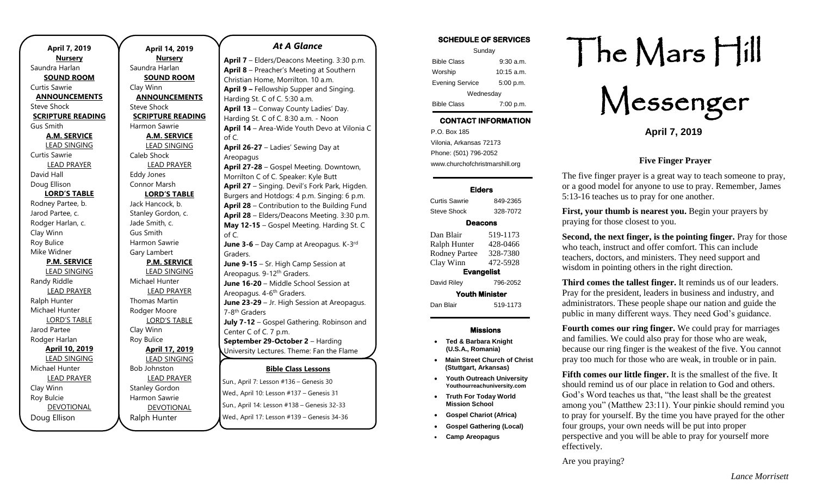| April 7, 2019            |  |  |  |
|--------------------------|--|--|--|
| <b>Nursery</b>           |  |  |  |
| Saundra Harlan           |  |  |  |
| <b>SOUND ROOM</b>        |  |  |  |
| Curtis Sawrie            |  |  |  |
| <b>ANNOUNCEMENTS</b>     |  |  |  |
| <b>Steve Shock</b>       |  |  |  |
| <b>SCRIPTURE READING</b> |  |  |  |
| Gus Smith                |  |  |  |
| <b>A.M. SERVICE</b>      |  |  |  |
| <b>LEAD SINGING</b>      |  |  |  |
| Curtis Sawrie            |  |  |  |
| <b>LEAD PRAYER</b>       |  |  |  |
| David Hall               |  |  |  |
| Doug Ellison             |  |  |  |
| <b>LORD'S TABLE</b>      |  |  |  |
| Rodney Partee, b.        |  |  |  |
| Jarod Partee, c.         |  |  |  |
| Rodger Harlan, c.        |  |  |  |
| Clay Winn                |  |  |  |
| Roy Bulice               |  |  |  |
| Mike Widner              |  |  |  |
| <b>P.M. SERVICE</b>      |  |  |  |
| <b>LEAD SINGING</b>      |  |  |  |
| Randy Riddle             |  |  |  |
| <b>LEAD PRAYER</b>       |  |  |  |
| Ralph Hunter             |  |  |  |
| Michael Hunter           |  |  |  |
| <b>LORD'S TABLE</b>      |  |  |  |
| Jarod Partee             |  |  |  |
| Rodger Harlan            |  |  |  |
| April 10, 2019           |  |  |  |
| <b>LEAD SINGING</b>      |  |  |  |
| Michael Hunter           |  |  |  |
| <b>LEAD PRAYER</b>       |  |  |  |
| Clay Winn                |  |  |  |
| Roy Bulcie               |  |  |  |
| <b>DEVOTIONAL</b>        |  |  |  |
| Doug Ellison             |  |  |  |

**April 14, 2019 Nursery** Saundra Harlan **SOUND ROOM** Clay Winn **ANNOUNCEMENTS** Steve Shock **SCRIPTURE READING** Harmon Sawrie **A.M. SERVICE** LEAD SINGING Caleb Shock LEAD PRAYER Eddy Jones Connor Marsh **LORD'S TABLE** Jack Hancock, b. Stanley Gordon, c. Jade Smith, c. Gus Smith Harmon Sawrie Gary Lambert **P.M. SERVICE** LEAD SINGING Michael Hunter LEAD PRAYER Thomas Martin Rodger Moore LORD'S TABLE Clay Winn Roy Bulice **April 17, 2019** LEAD SINGING Bob Johnston LEAD PRAYER Stanley Gordon Harmon Sawrie DEVOTIONAL of C.

Ralph Hunter

## *At A Glance*

**April 7** – Elders/Deacons Meeting. 3:30 p.m. **April 8** – Preacher's Meeting at Southern Christian Home, Morrilton. 10 a.m. **April 9 –** Fellowship Supper and Singing. Harding St. C of C. 5:30 a.m. **April 13** – Conway County Ladies' Day. Harding St. C of C. 8:30 a.m. - Noon **April 14** – Area-Wide Youth Devo at Vilonia C of C. **April 26-27** – Ladies' Sewing Day at Areopagus **April 27-28** – Gospel Meeting. Downtown, Morrilton C of C. Speaker: Kyle Butt **April 27** – Singing. Devil's Fork Park, Higden. Burgers and Hotdogs: 4 p.m. Singing: 6 p.m. **April 28** – Contribution to the Building Fund **April 28** – Elders/Deacons Meeting. 3:30 p.m. **May 12-15** – Gospel Meeting. Harding St. C

**June 3-6** – Day Camp at Areopagus. K-3<sup>rd</sup> Graders.

**June 9-15** – Sr. High Camp Session at Areopagus. 9-12<sup>th</sup> Graders. **June 16-20** – Middle School Session at Areopagus. 4-6<sup>th</sup> Graders. **June 23-29** – Jr. High Session at Areopagus. 7-8<sup>th</sup> Graders **July 7-12** – Gospel Gathering. Robinson and Center C of C. 7 p.m.

**September 29-October 2** – Harding University Lectures. Theme: Fan the Flame

#### **Bible Class Lessons**

Sun., April 7: Lesson #136 – Genesis 30 Wed., April 10: Lesson #137 – Genesis 31 Sun., April 14: Lesson #138 – Genesis 32-33 Wed., April 17: Lesson #139 – Genesis 34-36

| <b>SCHEDULE OF SERVICES</b> |  |  |
|-----------------------------|--|--|
|                             |  |  |

| Sunday                 |              |  |  |
|------------------------|--------------|--|--|
| <b>Bible Class</b>     | $9:30$ a.m.  |  |  |
| Worship                | $10:15$ a.m. |  |  |
| <b>Evening Service</b> | 5:00 p.m.    |  |  |
| Wednesday              |              |  |  |
| <b>Bible Class</b>     | 7:00 p.m.    |  |  |

## **CONTACT INFORMATION**

. .o. Box 166<br>Vilonia, Arkansas 72173 P.O. Box 185 Phone: (501) 796-2052 www.churchofchristmarshill.org

## **Elders**

Curtis Sawrie 849-2365 Steve Shock 328-7072

# **Deacons**

Dan Blair 519-1173 Ralph Hunter 428-0466 Rodney Partee 328-7380 Clay Winn 472-5928 **Evangelist**  David Riley 796-2052 **Youth Minister**  Dan Blair 519-1173

## **Missions**

- **Ted & Barbara Knight (U.S.A., Romania)**
- **Main Street Church of Christ (Stuttgart, Arkansas)**
- **Youth Outreach University Youthourreachuniversity.com**
- **Truth For Today World Mission School**
- **Gospel Chariot (Africa)**
- **Gospel Gathering (Local)**
- **Camp Areopagus**

# The Mars Hill

Messenger

**April 7, 2019**

## **Five Finger Prayer**

The five finger prayer is a great way to teach someone to pray, or a good model for anyone to use to pray. Remember, James 5:13-16 teaches us to pray for one another.

**First, your thumb is nearest you.** Begin your prayers by praying for those closest to you.

**Second, the next finger, is the pointing finger.** Pray for those who teach, instruct and offer comfort. This can include teachers, doctors, and ministers. They need support and wisdom in pointing others in the right direction.

**Third comes the tallest finger.** It reminds us of our leaders. Pray for the president, leaders in business and industry, and administrators. These people shape our nation and guide the public in many different ways. They need God's guidance.

**Fourth comes our ring finger.** We could pray for marriages and families. We could also pray for those who are weak, because our ring finger is the weakest of the five. You cannot pray too much for those who are weak, in trouble or in pain.

**Fifth comes our little finger.** It is the smallest of the five. It should remind us of our place in relation to God and others. God's Word teaches us that, "the least shall be the greatest among you" (Matthew 23:11). Your pinkie should remind you to pray for yourself. By the time you have prayed for the other four groups, your own needs will be put into proper perspective and you will be able to pray for yourself more effectively.

Are you praying?